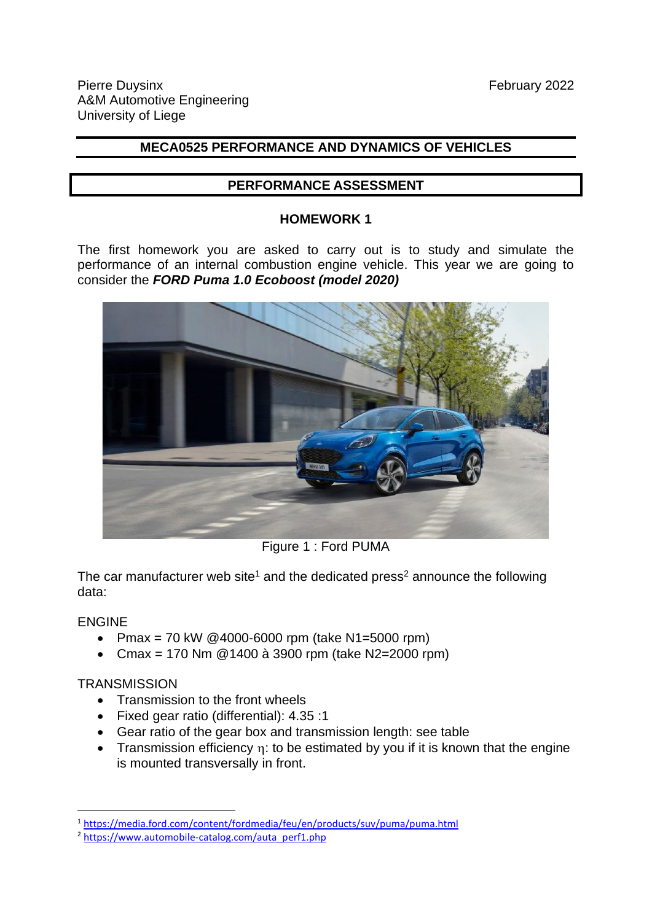# **MECA0525 PERFORMANCE AND DYNAMICS OF VEHICLES**

#### **PERFORMANCE ASSESSMENT**

#### **HOMEWORK 1**

The first homework you are asked to carry out is to study and simulate the performance of an internal combustion engine vehicle. This year we are going to consider the *FORD Puma 1.0 Ecoboost (model 2020)*



Figure 1 : Ford PUMA

The car manufacturer web site<sup>1</sup> and the dedicated press<sup>2</sup> announce the following data:

### ENGINE

- Pmax = 70 kW @4000-6000 rpm (take N1=5000 rpm)
- Cmax = 170 Nm @1400 à 3900 rpm (take N2=2000 rpm)

### **TRANSMISSION**

- Transmission to the front wheels
- Fixed gear ratio (differential): 4.35 :1
- Gear ratio of the gear box and transmission length: see table
- Transmission efficiency  $\eta$ : to be estimated by you if it is known that the engine is mounted transversally in front.

<sup>1</sup> <https://media.ford.com/content/fordmedia/feu/en/products/suv/puma/puma.html>

<sup>&</sup>lt;sup>2</sup> [https://www.automobile-catalog.com/auta\\_perf1.php](https://www.automobile-catalog.com/auta_perf1.php)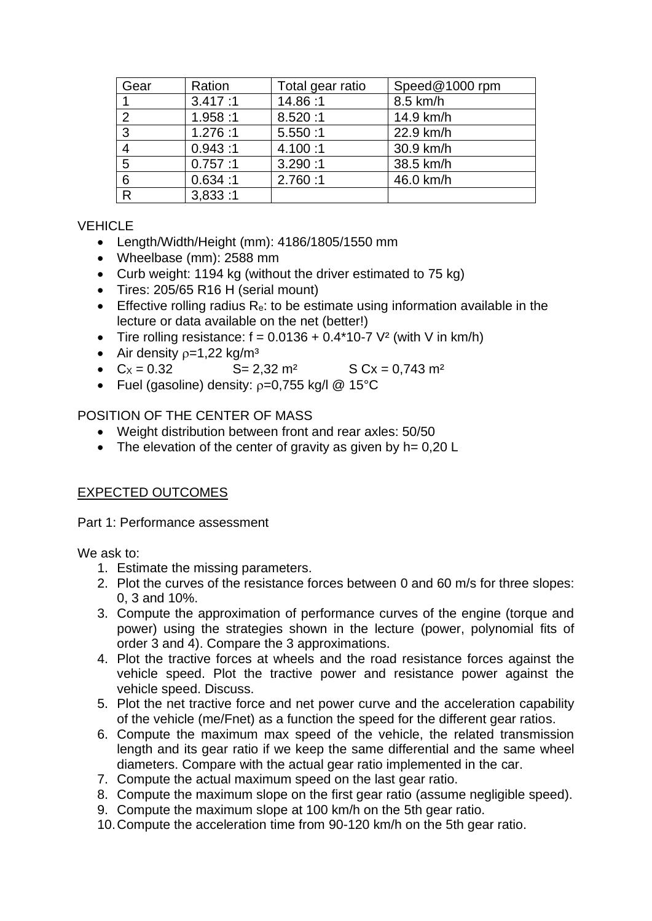| Gear         | Ration  | Total gear ratio | Speed@1000 rpm |
|--------------|---------|------------------|----------------|
|              | 3.417:1 | 14.86:1          | 8.5 km/h       |
| 2            | 1.958:1 | 8.520:1          | 14.9 km/h      |
| 3            | 1.276:1 | 5.550:1          | 22.9 km/h      |
|              | 0.943:1 | 4.100:1          | 30.9 km/h      |
| 5            | 0.757:1 | 3.290:1          | 38.5 km/h      |
| 6            | 0.634:1 | 2.760:1          | 46.0 km/h      |
| $\mathsf{R}$ | 3,833:1 |                  |                |

# **VEHICLE**

- Length/Width/Height (mm): 4186/1805/1550 mm
- Wheelbase (mm): 2588 mm
- Curb weight: 1194 kg (without the driver estimated to 75 kg)
- Tires: 205/65 R16 H (serial mount)
- **•** Effective rolling radius  $R_e$ : to be estimate using information available in the lecture or data available on the net (better!)
- Tire rolling resistance:  $f = 0.0136 + 0.4*10-7$  V<sup>2</sup> (with V in km/h)
- Air density  $p=1,22$  kg/m<sup>3</sup>
- $Cx = 0.32$   $S = 2.32 \text{ m}^2$   $S Cx = 0.743 \text{ m}^2$
- Fuel (gasoline) density:  $p=0,755$  kg/l @ 15°C

### POSITION OF THE CENTER OF MASS

- Weight distribution between front and rear axles: 50/50
- The elevation of the center of gravity as given by h= 0,20 L

# EXPECTED OUTCOMES

Part 1: Performance assessment

We ask to:

- 1. Estimate the missing parameters.
- 2. Plot the curves of the resistance forces between 0 and 60 m/s for three slopes: 0, 3 and 10%.
- 3. Compute the approximation of performance curves of the engine (torque and power) using the strategies shown in the lecture (power, polynomial fits of order 3 and 4). Compare the 3 approximations.
- 4. Plot the tractive forces at wheels and the road resistance forces against the vehicle speed. Plot the tractive power and resistance power against the vehicle speed. Discuss.
- 5. Plot the net tractive force and net power curve and the acceleration capability of the vehicle (me/Fnet) as a function the speed for the different gear ratios.
- 6. Compute the maximum max speed of the vehicle, the related transmission length and its gear ratio if we keep the same differential and the same wheel diameters. Compare with the actual gear ratio implemented in the car.
- 7. Compute the actual maximum speed on the last gear ratio.
- 8. Compute the maximum slope on the first gear ratio (assume negligible speed).
- 9. Compute the maximum slope at 100 km/h on the 5th gear ratio.
- 10.Compute the acceleration time from 90-120 km/h on the 5th gear ratio.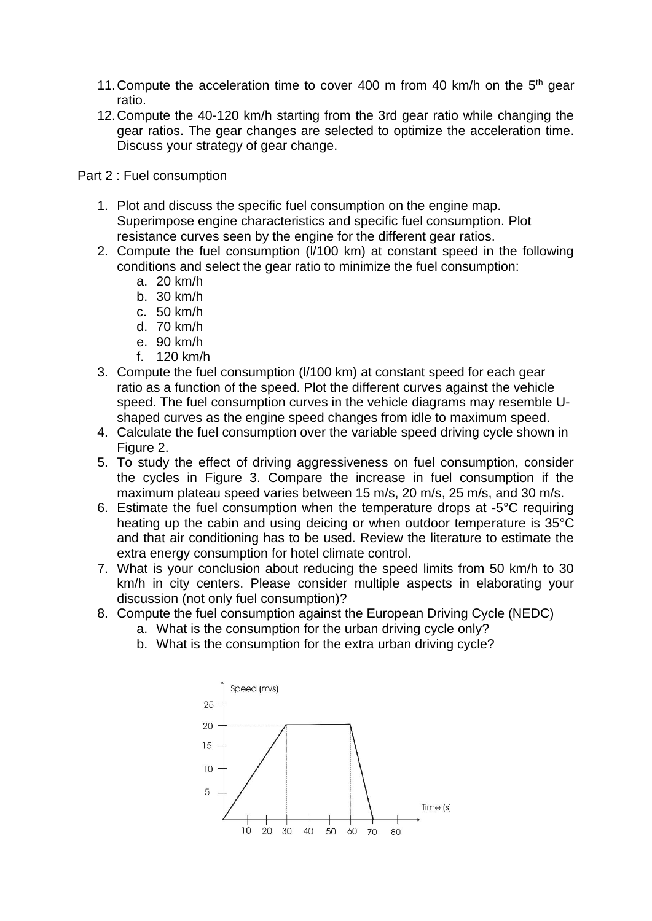- 11. Compute the acceleration time to cover 400 m from 40 km/h on the  $5<sup>th</sup>$  gear ratio.
- 12.Compute the 40-120 km/h starting from the 3rd gear ratio while changing the gear ratios. The gear changes are selected to optimize the acceleration time. Discuss your strategy of gear change.

Part 2 : Fuel consumption

- 1. Plot and discuss the specific fuel consumption on the engine map. Superimpose engine characteristics and specific fuel consumption. Plot resistance curves seen by the engine for the different gear ratios.
- 2. Compute the fuel consumption (l/100 km) at constant speed in the following conditions and select the gear ratio to minimize the fuel consumption:
	- a. 20 km/h
	- b. 30 km/h
	- c. 50 km/h
	- d. 70 km/h
	- e. 90 km/h
	- f. 120 km/h
- 3. Compute the fuel consumption (l/100 km) at constant speed for each gear ratio as a function of the speed. Plot the different curves against the vehicle speed. The fuel consumption curves in the vehicle diagrams may resemble Ushaped curves as the engine speed changes from idle to maximum speed.
- 4. Calculate the fuel consumption over the variable speed driving cycle shown in Figure 2.
- 5. To study the effect of driving aggressiveness on fuel consumption, consider the cycles in Figure 3. Compare the increase in fuel consumption if the maximum plateau speed varies between 15 m/s, 20 m/s, 25 m/s, and 30 m/s.
- 6. Estimate the fuel consumption when the temperature drops at -5°C requiring heating up the cabin and using deicing or when outdoor temperature is 35°C and that air conditioning has to be used. Review the literature to estimate the extra energy consumption for hotel climate control.
- 7. What is your conclusion about reducing the speed limits from 50 km/h to 30 km/h in city centers. Please consider multiple aspects in elaborating your discussion (not only fuel consumption)?
- 8. Compute the fuel consumption against the European Driving Cycle (NEDC)
	- a. What is the consumption for the urban driving cycle only?
	- b. What is the consumption for the extra urban driving cycle?

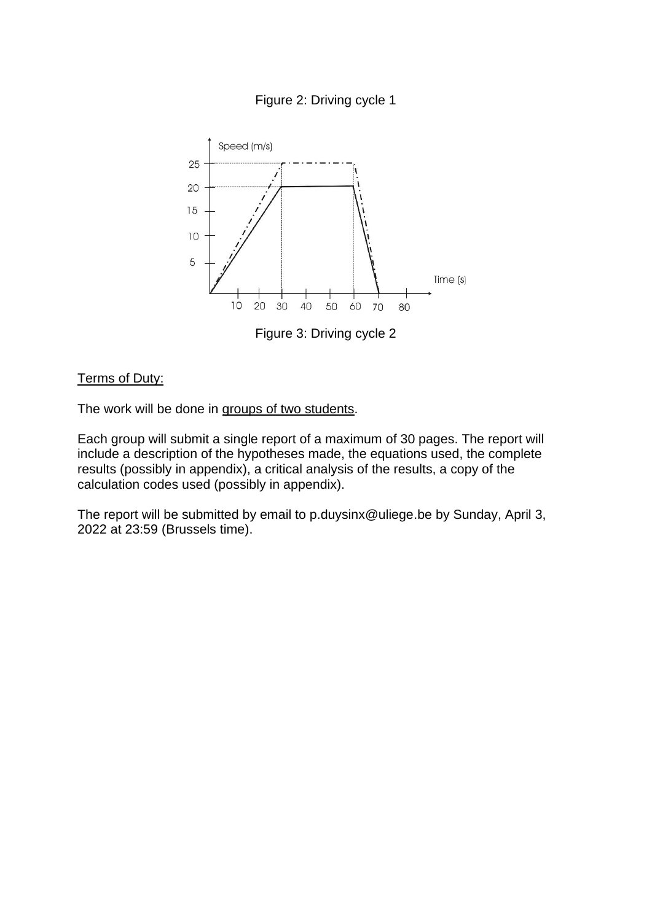



Figure 3: Driving cycle 2

#### Terms of Duty:

The work will be done in groups of two students.

Each group will submit a single report of a maximum of 30 pages. The report will include a description of the hypotheses made, the equations used, the complete results (possibly in appendix), a critical analysis of the results, a copy of the calculation codes used (possibly in appendix).

The report will be submitted by email to p.duysinx@uliege.be by Sunday, April 3, 2022 at 23:59 (Brussels time).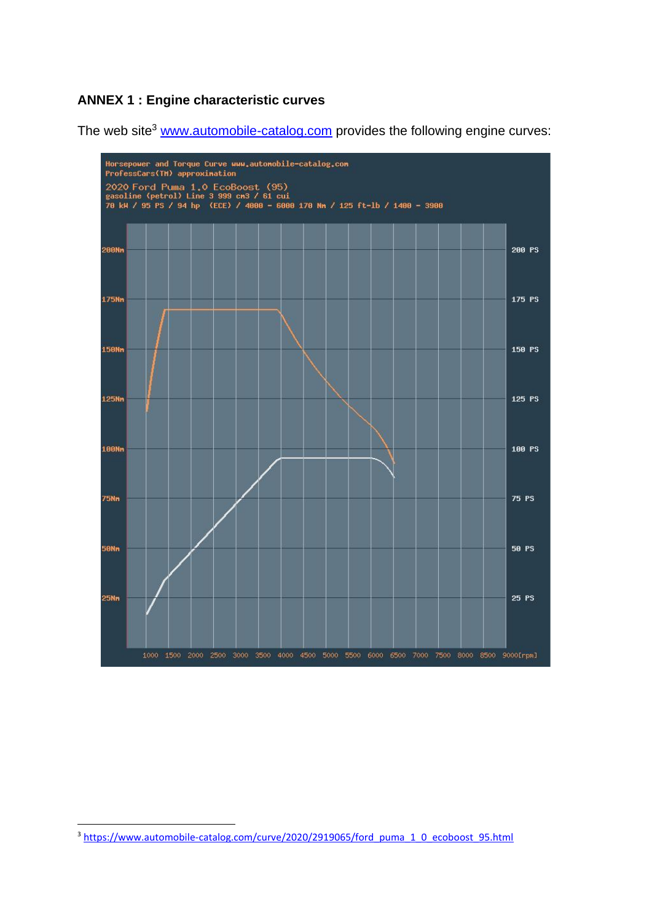# **ANNEX 1 : Engine characteristic curves**

The web site<sup>3</sup> [www.automobile-catalog.com](http://www.automobile-catalog.com/) provides the following engine curves:



<sup>&</sup>lt;sup>3</sup> [https://www.automobile-catalog.com/curve/2020/2919065/ford\\_puma\\_1\\_0\\_ecoboost\\_95.html](https://www.automobile-catalog.com/curve/2020/2919065/ford_puma_1_0_ecoboost_95.html)